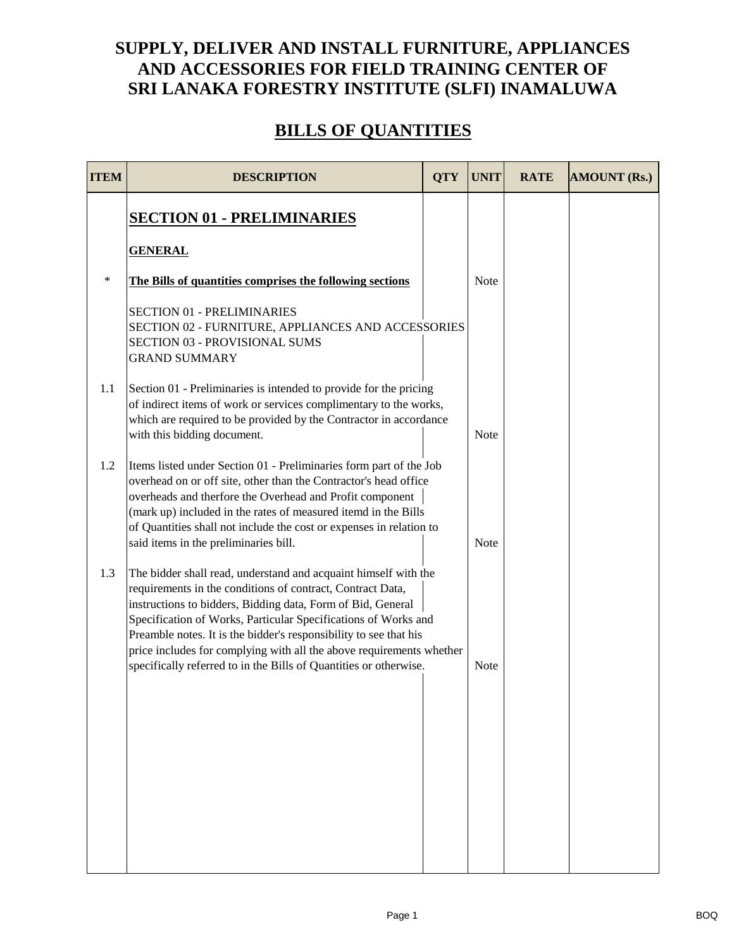## **SUPPLY, DELIVER AND INSTALL FURNITURE, APPLIANCES AND ACCESSORIES FOR FIELD TRAINING CENTER OF SRI LANAKA FORESTRY INSTITUTE (SLFI) INAMALUWA**

## **BILLS OF QUANTITIES**

| <b>ITEM</b> | <b>DESCRIPTION</b>                                                                                                                                                                                                                                                                                                                                                                                                                                                               | <b>QTY</b> | <b>UNIT</b> | <b>RATE</b> | <b>AMOUNT (Rs.)</b> |
|-------------|----------------------------------------------------------------------------------------------------------------------------------------------------------------------------------------------------------------------------------------------------------------------------------------------------------------------------------------------------------------------------------------------------------------------------------------------------------------------------------|------------|-------------|-------------|---------------------|
|             | <b>SECTION 01 - PRELIMINARIES</b>                                                                                                                                                                                                                                                                                                                                                                                                                                                |            |             |             |                     |
|             | <b>GENERAL</b>                                                                                                                                                                                                                                                                                                                                                                                                                                                                   |            |             |             |                     |
| $\ast$      | The Bills of quantities comprises the following sections                                                                                                                                                                                                                                                                                                                                                                                                                         |            | <b>Note</b> |             |                     |
|             | <b>SECTION 01 - PRELIMINARIES</b><br>SECTION 02 - FURNITURE, APPLIANCES AND ACCESSORIES<br>SECTION 03 - PROVISIONAL SUMS<br><b>GRAND SUMMARY</b>                                                                                                                                                                                                                                                                                                                                 |            |             |             |                     |
| 1.1         | Section 01 - Preliminaries is intended to provide for the pricing<br>of indirect items of work or services complimentary to the works,<br>which are required to be provided by the Contractor in accordance<br>with this bidding document.                                                                                                                                                                                                                                       |            | Note        |             |                     |
| 1.2         | Items listed under Section 01 - Preliminaries form part of the Job<br>overhead on or off site, other than the Contractor's head office<br>overheads and therfore the Overhead and Profit component<br>(mark up) included in the rates of measured itemd in the Bills<br>of Quantities shall not include the cost or expenses in relation to<br>said items in the preliminaries bill.                                                                                             |            | <b>Note</b> |             |                     |
| 1.3         | The bidder shall read, understand and acquaint himself with the<br>requirements in the conditions of contract, Contract Data,<br>instructions to bidders, Bidding data, Form of Bid, General<br>Specification of Works, Particular Specifications of Works and<br>Preamble notes. It is the bidder's responsibility to see that his<br>price includes for complying with all the above requirements whether<br>specifically referred to in the Bills of Quantities or otherwise. |            | Note        |             |                     |
|             |                                                                                                                                                                                                                                                                                                                                                                                                                                                                                  |            |             |             |                     |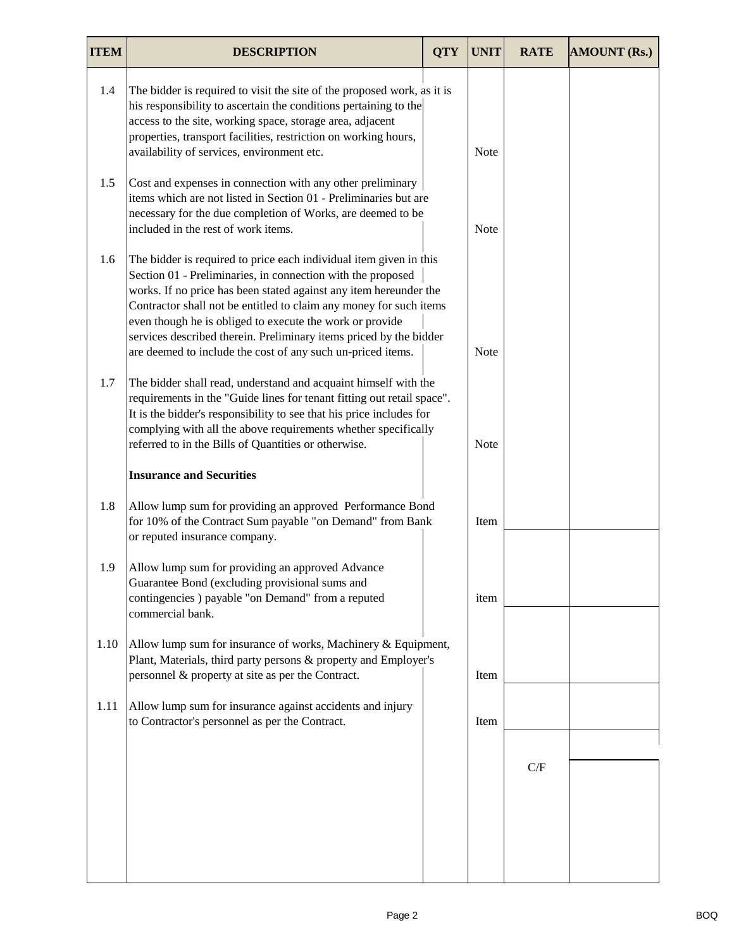| <b>ITEM</b> | <b>DESCRIPTION</b>                                                                                                                                                                                                                                                                                                                                                                                                                                                            | <b>QTY</b> | <b>UNIT</b> | <b>RATE</b> | <b>AMOUNT (Rs.)</b> |
|-------------|-------------------------------------------------------------------------------------------------------------------------------------------------------------------------------------------------------------------------------------------------------------------------------------------------------------------------------------------------------------------------------------------------------------------------------------------------------------------------------|------------|-------------|-------------|---------------------|
| 1.4         | The bidder is required to visit the site of the proposed work, as it is<br>his responsibility to ascertain the conditions pertaining to the<br>access to the site, working space, storage area, adjacent<br>properties, transport facilities, restriction on working hours,<br>availability of services, environment etc.                                                                                                                                                     |            | Note        |             |                     |
| 1.5         | Cost and expenses in connection with any other preliminary<br>items which are not listed in Section 01 - Preliminaries but are<br>necessary for the due completion of Works, are deemed to be<br>included in the rest of work items.                                                                                                                                                                                                                                          |            | <b>Note</b> |             |                     |
| 1.6         | The bidder is required to price each individual item given in this<br>Section 01 - Preliminaries, in connection with the proposed<br>works. If no price has been stated against any item hereunder the<br>Contractor shall not be entitled to claim any money for such items<br>even though he is obliged to execute the work or provide<br>services described therein. Preliminary items priced by the bidder<br>are deemed to include the cost of any such un-priced items. |            | <b>Note</b> |             |                     |
| 1.7         | The bidder shall read, understand and acquaint himself with the<br>requirements in the "Guide lines for tenant fitting out retail space".<br>It is the bidder's responsibility to see that his price includes for<br>complying with all the above requirements whether specifically<br>referred to in the Bills of Quantities or otherwise.                                                                                                                                   |            | <b>Note</b> |             |                     |
|             | <b>Insurance and Securities</b>                                                                                                                                                                                                                                                                                                                                                                                                                                               |            |             |             |                     |
| 1.8         | Allow lump sum for providing an approved Performance Bond<br>for 10% of the Contract Sum payable "on Demand" from Bank<br>or reputed insurance company.                                                                                                                                                                                                                                                                                                                       |            | Item        |             |                     |
| 1.9         | Allow lump sum for providing an approved Advance<br>Guarantee Bond (excluding provisional sums and<br>contingencies) payable "on Demand" from a reputed<br>commercial bank.                                                                                                                                                                                                                                                                                                   |            | item        |             |                     |
| 1.10        | Allow lump sum for insurance of works, Machinery & Equipment,<br>Plant, Materials, third party persons & property and Employer's<br>personnel & property at site as per the Contract.                                                                                                                                                                                                                                                                                         |            | Item        |             |                     |
| 1.11        | Allow lump sum for insurance against accidents and injury<br>to Contractor's personnel as per the Contract.                                                                                                                                                                                                                                                                                                                                                                   |            | Item        |             |                     |
|             |                                                                                                                                                                                                                                                                                                                                                                                                                                                                               |            |             |             |                     |
|             |                                                                                                                                                                                                                                                                                                                                                                                                                                                                               |            |             | C/F         |                     |
|             |                                                                                                                                                                                                                                                                                                                                                                                                                                                                               |            |             |             |                     |
|             |                                                                                                                                                                                                                                                                                                                                                                                                                                                                               |            |             |             |                     |
|             |                                                                                                                                                                                                                                                                                                                                                                                                                                                                               |            |             |             |                     |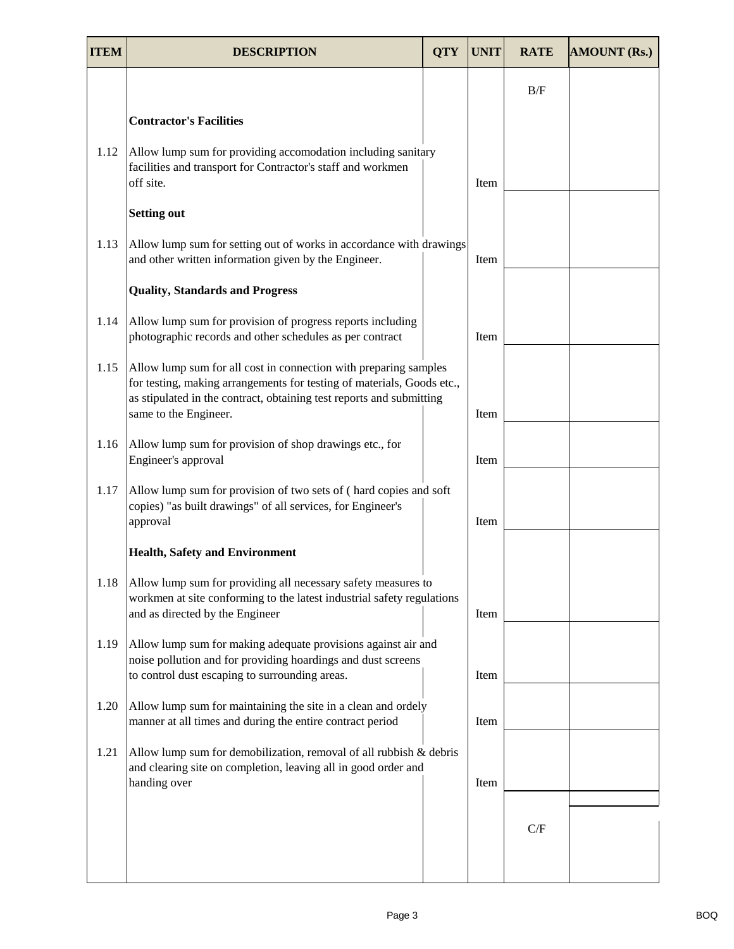| <b>ITEM</b> | <b>DESCRIPTION</b>                                                                                                                                                                                                                          | <b>QTY</b> | <b>UNIT</b> | <b>RATE</b> | <b>AMOUNT (Rs.)</b> |
|-------------|---------------------------------------------------------------------------------------------------------------------------------------------------------------------------------------------------------------------------------------------|------------|-------------|-------------|---------------------|
|             |                                                                                                                                                                                                                                             |            |             | B/F         |                     |
|             | <b>Contractor's Facilities</b>                                                                                                                                                                                                              |            |             |             |                     |
| 1.12        | Allow lump sum for providing accomodation including sanitary<br>facilities and transport for Contractor's staff and workmen<br>off site.                                                                                                    |            | Item        |             |                     |
|             | <b>Setting out</b>                                                                                                                                                                                                                          |            |             |             |                     |
| 1.13        | Allow lump sum for setting out of works in accordance with drawings<br>and other written information given by the Engineer.                                                                                                                 |            | Item        |             |                     |
|             | <b>Quality, Standards and Progress</b>                                                                                                                                                                                                      |            |             |             |                     |
| 1.14        | Allow lump sum for provision of progress reports including<br>photographic records and other schedules as per contract                                                                                                                      |            | Item        |             |                     |
| 1.15        | Allow lump sum for all cost in connection with preparing samples<br>for testing, making arrangements for testing of materials, Goods etc.,<br>as stipulated in the contract, obtaining test reports and submitting<br>same to the Engineer. |            | Item        |             |                     |
| 1.16        | Allow lump sum for provision of shop drawings etc., for<br>Engineer's approval                                                                                                                                                              |            | Item        |             |                     |
| 1.17        | Allow lump sum for provision of two sets of (hard copies and soft<br>copies) "as built drawings" of all services, for Engineer's<br>approval                                                                                                |            | Item        |             |                     |
|             | <b>Health, Safety and Environment</b>                                                                                                                                                                                                       |            |             |             |                     |
| 1.18        | Allow lump sum for providing all necessary safety measures to<br>workmen at site conforming to the latest industrial safety regulations<br>and as directed by the Engineer                                                                  |            | Item        |             |                     |
| 1.19        | Allow lump sum for making adequate provisions against air and<br>noise pollution and for providing hoardings and dust screens<br>to control dust escaping to surrounding areas.                                                             |            | Item        |             |                     |
| 1.20        | Allow lump sum for maintaining the site in a clean and ordely<br>manner at all times and during the entire contract period                                                                                                                  |            | Item        |             |                     |
| 1.21        | Allow lump sum for demobilization, removal of all rubbish $\&$ debris<br>and clearing site on completion, leaving all in good order and<br>handing over                                                                                     |            | Item        |             |                     |
|             |                                                                                                                                                                                                                                             |            |             |             |                     |
|             |                                                                                                                                                                                                                                             |            |             | C/F         |                     |
|             |                                                                                                                                                                                                                                             |            |             |             |                     |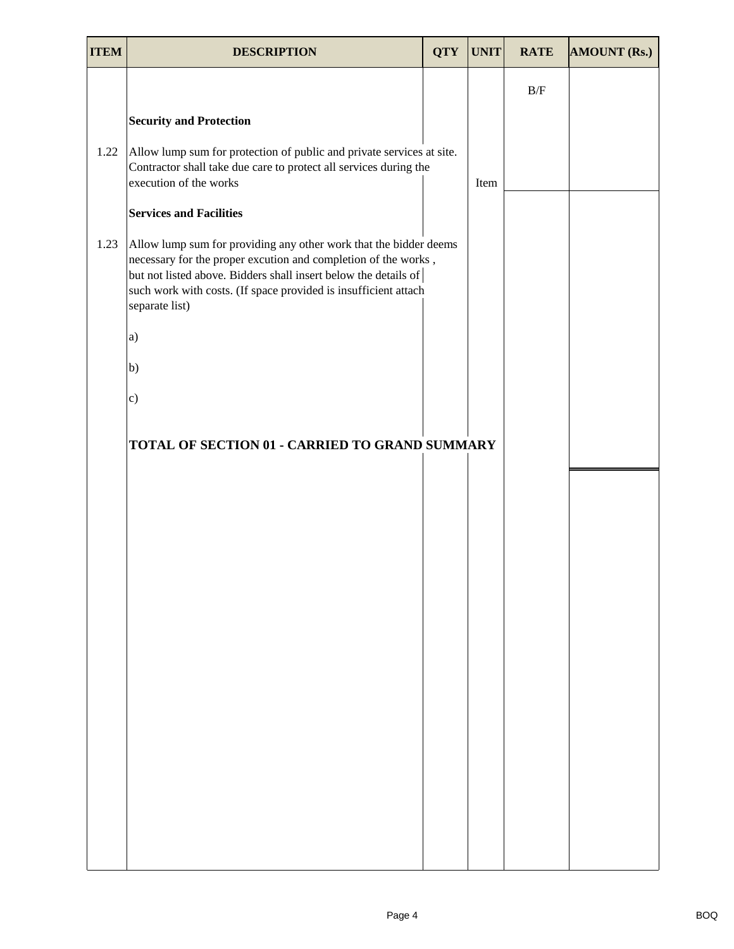| <b>ITEM</b> | <b>DESCRIPTION</b>                                                                                                                                                                                                                                                                          | <b>QTY</b> | <b>UNIT</b> | <b>RATE</b> | <b>AMOUNT (Rs.)</b> |
|-------------|---------------------------------------------------------------------------------------------------------------------------------------------------------------------------------------------------------------------------------------------------------------------------------------------|------------|-------------|-------------|---------------------|
|             |                                                                                                                                                                                                                                                                                             |            |             | B/F         |                     |
|             | <b>Security and Protection</b>                                                                                                                                                                                                                                                              |            |             |             |                     |
| 1.22        | Allow lump sum for protection of public and private services at site.<br>Contractor shall take due care to protect all services during the<br>execution of the works                                                                                                                        |            | Item        |             |                     |
|             | <b>Services and Facilities</b>                                                                                                                                                                                                                                                              |            |             |             |                     |
| 1.23        | Allow lump sum for providing any other work that the bidder deems<br>necessary for the proper excution and completion of the works,<br>but not listed above. Bidders shall insert below the details of<br>such work with costs. (If space provided is insufficient attach<br>separate list) |            |             |             |                     |
|             | a)                                                                                                                                                                                                                                                                                          |            |             |             |                     |
|             | b)                                                                                                                                                                                                                                                                                          |            |             |             |                     |
|             | $\mathbf{c})$                                                                                                                                                                                                                                                                               |            |             |             |                     |
|             | TOTAL OF SECTION 01 - CARRIED TO GRAND SUMMARY                                                                                                                                                                                                                                              |            |             |             |                     |
|             |                                                                                                                                                                                                                                                                                             |            |             |             |                     |
|             |                                                                                                                                                                                                                                                                                             |            |             |             |                     |
|             |                                                                                                                                                                                                                                                                                             |            |             |             |                     |
|             |                                                                                                                                                                                                                                                                                             |            |             |             |                     |
|             |                                                                                                                                                                                                                                                                                             |            |             |             |                     |
|             |                                                                                                                                                                                                                                                                                             |            |             |             |                     |
|             |                                                                                                                                                                                                                                                                                             |            |             |             |                     |
|             |                                                                                                                                                                                                                                                                                             |            |             |             |                     |
|             |                                                                                                                                                                                                                                                                                             |            |             |             |                     |
|             |                                                                                                                                                                                                                                                                                             |            |             |             |                     |
|             |                                                                                                                                                                                                                                                                                             |            |             |             |                     |
|             |                                                                                                                                                                                                                                                                                             |            |             |             |                     |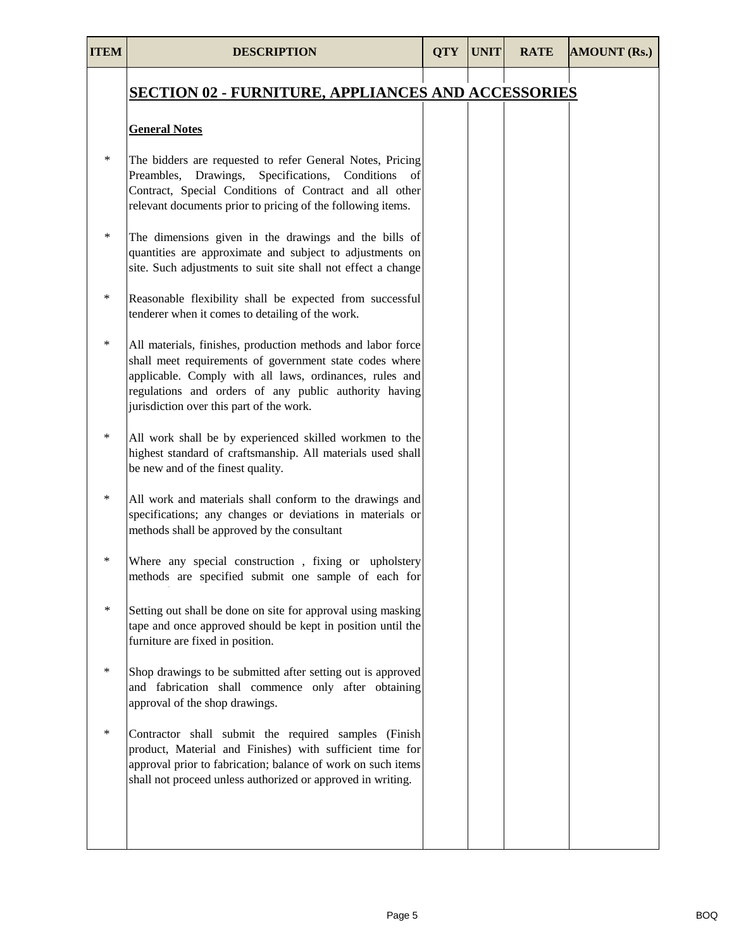| <b>ITEM</b> | <b>DESCRIPTION</b>                                                                                                                                                                                                                                                                     | <b>QTY</b> | <b>UNIT</b> | <b>RATE</b> | <b>AMOUNT (Rs.)</b> |
|-------------|----------------------------------------------------------------------------------------------------------------------------------------------------------------------------------------------------------------------------------------------------------------------------------------|------------|-------------|-------------|---------------------|
|             | <b>SECTION 02 - FURNITURE, APPLIANCES AND ACCESSORIES</b>                                                                                                                                                                                                                              |            |             |             |                     |
|             | <b>General Notes</b>                                                                                                                                                                                                                                                                   |            |             |             |                     |
| $\ast$      | The bidders are requested to refer General Notes, Pricing<br>Preambles, Drawings, Specifications, Conditions of<br>Contract, Special Conditions of Contract and all other<br>relevant documents prior to pricing of the following items.                                               |            |             |             |                     |
| ∗           | The dimensions given in the drawings and the bills of<br>quantities are approximate and subject to adjustments on<br>site. Such adjustments to suit site shall not effect a change                                                                                                     |            |             |             |                     |
| $\ast$      | Reasonable flexibility shall be expected from successful<br>tenderer when it comes to detailing of the work.                                                                                                                                                                           |            |             |             |                     |
| $\ast$      | All materials, finishes, production methods and labor force<br>shall meet requirements of government state codes where<br>applicable. Comply with all laws, ordinances, rules and<br>regulations and orders of any public authority having<br>jurisdiction over this part of the work. |            |             |             |                     |
| $\ast$      | All work shall be by experienced skilled workmen to the<br>highest standard of craftsmanship. All materials used shall<br>be new and of the finest quality.                                                                                                                            |            |             |             |                     |
| $\ast$      | All work and materials shall conform to the drawings and<br>specifications; any changes or deviations in materials or<br>methods shall be approved by the consultant                                                                                                                   |            |             |             |                     |
| $\ast$      | Where any special construction, fixing or upholstery<br>methods are specified submit one sample of each for                                                                                                                                                                            |            |             |             |                     |
| $\ast$      | Setting out shall be done on site for approval using masking<br>tape and once approved should be kept in position until the<br>furniture are fixed in position.                                                                                                                        |            |             |             |                     |
| ∗           | Shop drawings to be submitted after setting out is approved<br>and fabrication shall commence only after obtaining<br>approval of the shop drawings.                                                                                                                                   |            |             |             |                     |
| $\ast$      | Contractor shall submit the required samples (Finish<br>product, Material and Finishes) with sufficient time for<br>approval prior to fabrication; balance of work on such items<br>shall not proceed unless authorized or approved in writing.                                        |            |             |             |                     |
|             |                                                                                                                                                                                                                                                                                        |            |             |             |                     |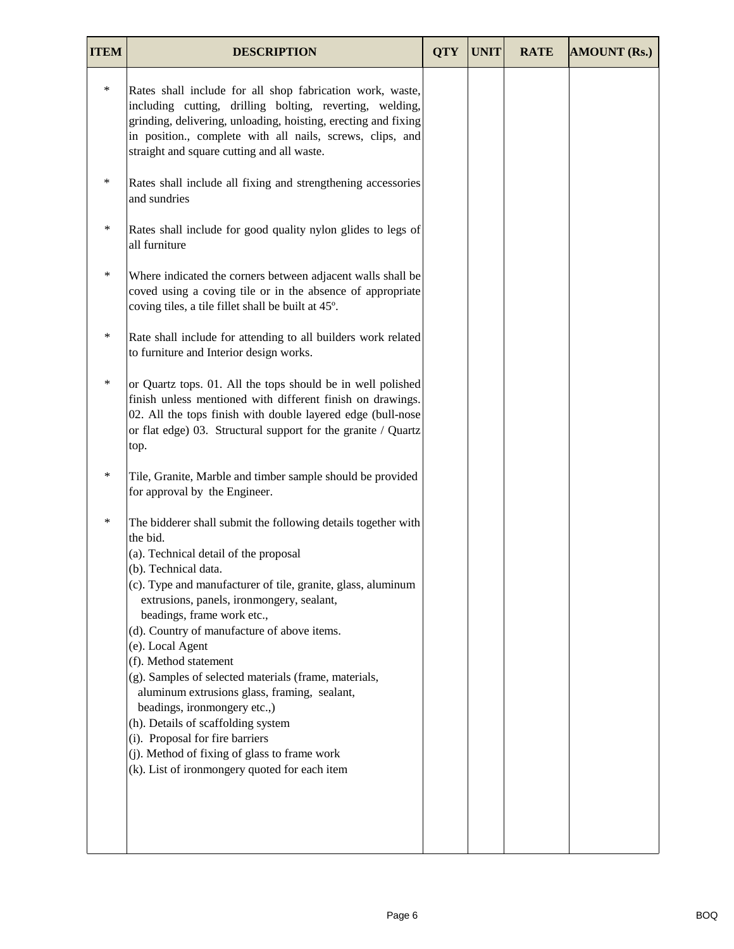| <b>ITEM</b> | <b>DESCRIPTION</b>                                                                                                                                                                                                                                                                                                                                                                                                                                                                                                                                                                                                                                                                                   | <b>QTY</b> | <b>UNIT</b> | <b>RATE</b> | <b>AMOUNT (Rs.)</b> |
|-------------|------------------------------------------------------------------------------------------------------------------------------------------------------------------------------------------------------------------------------------------------------------------------------------------------------------------------------------------------------------------------------------------------------------------------------------------------------------------------------------------------------------------------------------------------------------------------------------------------------------------------------------------------------------------------------------------------------|------------|-------------|-------------|---------------------|
| $\ast$      | Rates shall include for all shop fabrication work, waste,<br>including cutting, drilling bolting, reverting, welding,<br>grinding, delivering, unloading, hoisting, erecting and fixing<br>in position., complete with all nails, screws, clips, and<br>straight and square cutting and all waste.                                                                                                                                                                                                                                                                                                                                                                                                   |            |             |             |                     |
| $\ast$      | Rates shall include all fixing and strengthening accessories<br>and sundries                                                                                                                                                                                                                                                                                                                                                                                                                                                                                                                                                                                                                         |            |             |             |                     |
| $\ast$      | Rates shall include for good quality nylon glides to legs of<br>all furniture                                                                                                                                                                                                                                                                                                                                                                                                                                                                                                                                                                                                                        |            |             |             |                     |
| $\ast$      | Where indicated the corners between adjacent walls shall be<br>coved using a coving tile or in the absence of appropriate<br>coving tiles, a tile fillet shall be built at 45°.                                                                                                                                                                                                                                                                                                                                                                                                                                                                                                                      |            |             |             |                     |
| $\ast$      | Rate shall include for attending to all builders work related<br>to furniture and Interior design works.                                                                                                                                                                                                                                                                                                                                                                                                                                                                                                                                                                                             |            |             |             |                     |
| ∗           | or Quartz tops. 01. All the tops should be in well polished<br>finish unless mentioned with different finish on drawings.<br>02. All the tops finish with double layered edge (bull-nose<br>or flat edge) 03. Structural support for the granite / Quartz<br>top.                                                                                                                                                                                                                                                                                                                                                                                                                                    |            |             |             |                     |
| $\ast$      | Tile, Granite, Marble and timber sample should be provided<br>for approval by the Engineer.                                                                                                                                                                                                                                                                                                                                                                                                                                                                                                                                                                                                          |            |             |             |                     |
| ∗           | The bidderer shall submit the following details together with<br>the bid.<br>(a). Technical detail of the proposal<br>(b). Technical data.<br>(c). Type and manufacturer of tile, granite, glass, aluminum<br>extrusions, panels, ironmongery, sealant,<br>beadings, frame work etc.,<br>(d). Country of manufacture of above items.<br>(e). Local Agent<br>(f). Method statement<br>(g). Samples of selected materials (frame, materials,<br>aluminum extrusions glass, framing, sealant,<br>beadings, ironmongery etc.,)<br>(h). Details of scaffolding system<br>(i). Proposal for fire barriers<br>(j). Method of fixing of glass to frame work<br>(k). List of ironmongery quoted for each item |            |             |             |                     |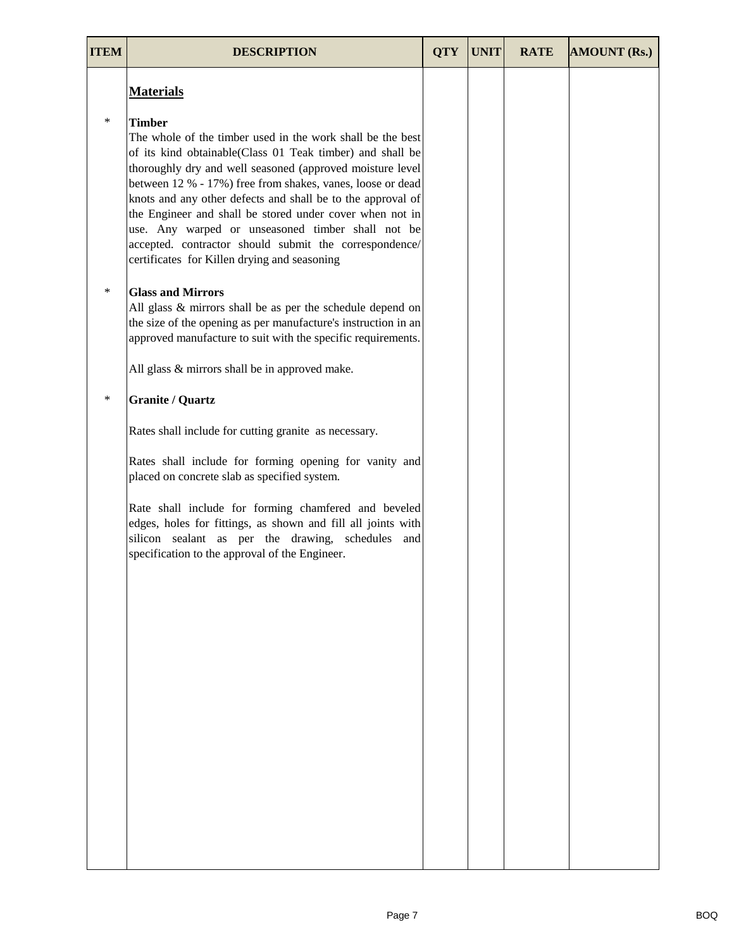| <b>ITEM</b> | <b>DESCRIPTION</b>                                                                                                                                                                                                                                                                                                                                                                                                                                                                                                                                            | <b>OTY</b> | <b>UNIT</b> | <b>RATE</b> | <b>AMOUNT (Rs.)</b> |
|-------------|---------------------------------------------------------------------------------------------------------------------------------------------------------------------------------------------------------------------------------------------------------------------------------------------------------------------------------------------------------------------------------------------------------------------------------------------------------------------------------------------------------------------------------------------------------------|------------|-------------|-------------|---------------------|
|             | <b>Materials</b>                                                                                                                                                                                                                                                                                                                                                                                                                                                                                                                                              |            |             |             |                     |
| $\ast$      | <b>Timber</b><br>The whole of the timber used in the work shall be the best<br>of its kind obtainable(Class 01 Teak timber) and shall be<br>thoroughly dry and well seasoned (approved moisture level<br>between 12 % - 17%) free from shakes, vanes, loose or dead<br>knots and any other defects and shall be to the approval of<br>the Engineer and shall be stored under cover when not in<br>use. Any warped or unseasoned timber shall not be<br>accepted. contractor should submit the correspondence/<br>certificates for Killen drying and seasoning |            |             |             |                     |
| $\ast$      | <b>Glass and Mirrors</b><br>All glass & mirrors shall be as per the schedule depend on<br>the size of the opening as per manufacture's instruction in an<br>approved manufacture to suit with the specific requirements.                                                                                                                                                                                                                                                                                                                                      |            |             |             |                     |
|             | All glass & mirrors shall be in approved make.                                                                                                                                                                                                                                                                                                                                                                                                                                                                                                                |            |             |             |                     |
| $\ast$      | <b>Granite / Quartz</b>                                                                                                                                                                                                                                                                                                                                                                                                                                                                                                                                       |            |             |             |                     |
|             | Rates shall include for cutting granite as necessary.                                                                                                                                                                                                                                                                                                                                                                                                                                                                                                         |            |             |             |                     |
|             | Rates shall include for forming opening for vanity and<br>placed on concrete slab as specified system.                                                                                                                                                                                                                                                                                                                                                                                                                                                        |            |             |             |                     |
|             | Rate shall include for forming chamfered and beveled<br>edges, holes for fittings, as shown and fill all joints with<br>silicon sealant as per the drawing, schedules and<br>specification to the approval of the Engineer.                                                                                                                                                                                                                                                                                                                                   |            |             |             |                     |
|             |                                                                                                                                                                                                                                                                                                                                                                                                                                                                                                                                                               |            |             |             |                     |
|             |                                                                                                                                                                                                                                                                                                                                                                                                                                                                                                                                                               |            |             |             |                     |
|             |                                                                                                                                                                                                                                                                                                                                                                                                                                                                                                                                                               |            |             |             |                     |
|             |                                                                                                                                                                                                                                                                                                                                                                                                                                                                                                                                                               |            |             |             |                     |
|             |                                                                                                                                                                                                                                                                                                                                                                                                                                                                                                                                                               |            |             |             |                     |
|             |                                                                                                                                                                                                                                                                                                                                                                                                                                                                                                                                                               |            |             |             |                     |
|             |                                                                                                                                                                                                                                                                                                                                                                                                                                                                                                                                                               |            |             |             |                     |
|             |                                                                                                                                                                                                                                                                                                                                                                                                                                                                                                                                                               |            |             |             |                     |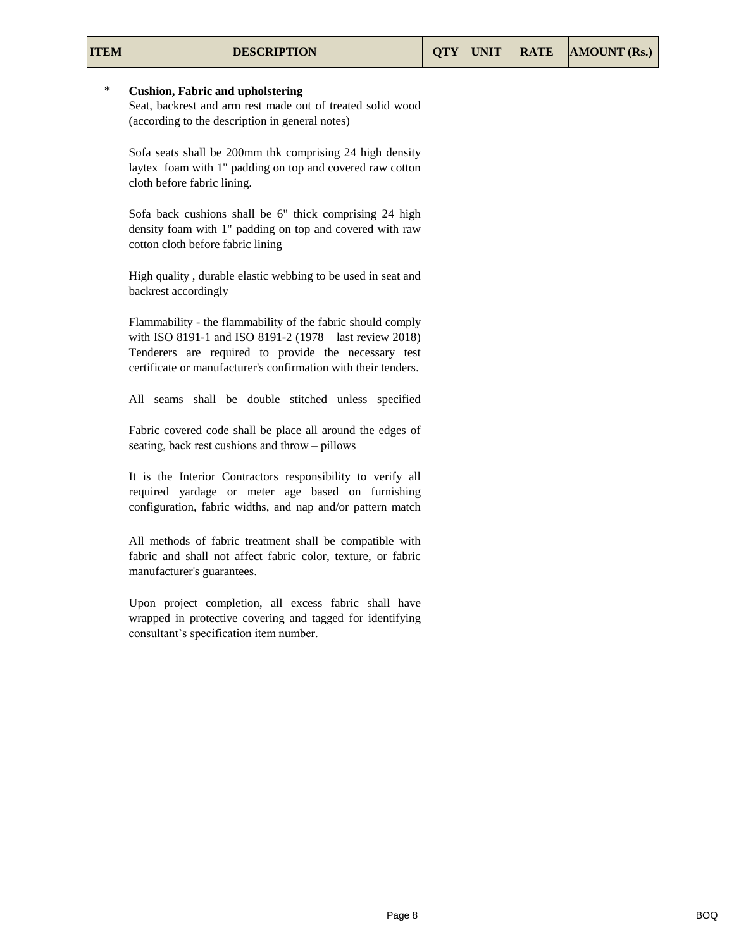| <b>ITEM</b> | <b>DESCRIPTION</b>                                                                                                                                                                                                                                | <b>QTY</b> | <b>UNIT</b> | <b>RATE</b> | <b>AMOUNT (Rs.)</b> |
|-------------|---------------------------------------------------------------------------------------------------------------------------------------------------------------------------------------------------------------------------------------------------|------------|-------------|-------------|---------------------|
| $\ast$      | <b>Cushion, Fabric and upholstering</b><br>Seat, backrest and arm rest made out of treated solid wood<br>(according to the description in general notes)                                                                                          |            |             |             |                     |
|             | Sofa seats shall be 200mm thk comprising 24 high density<br>laytex foam with 1" padding on top and covered raw cotton<br>cloth before fabric lining.                                                                                              |            |             |             |                     |
|             | Sofa back cushions shall be 6" thick comprising 24 high<br>density foam with 1" padding on top and covered with raw<br>cotton cloth before fabric lining                                                                                          |            |             |             |                     |
|             | High quality, durable elastic webbing to be used in seat and<br>backrest accordingly                                                                                                                                                              |            |             |             |                     |
|             | Flammability - the flammability of the fabric should comply<br>with ISO 8191-1 and ISO 8191-2 (1978 – last review 2018)<br>Tenderers are required to provide the necessary test<br>certificate or manufacturer's confirmation with their tenders. |            |             |             |                     |
|             | All seams shall be double stitched unless specified                                                                                                                                                                                               |            |             |             |                     |
|             | Fabric covered code shall be place all around the edges of<br>seating, back rest cushions and throw - pillows                                                                                                                                     |            |             |             |                     |
|             | It is the Interior Contractors responsibility to verify all<br>required yardage or meter age based on furnishing<br>configuration, fabric widths, and nap and/or pattern match                                                                    |            |             |             |                     |
|             | All methods of fabric treatment shall be compatible with<br>fabric and shall not affect fabric color, texture, or fabric<br>manufacturer's guarantees.                                                                                            |            |             |             |                     |
|             | Upon project completion, all excess fabric shall have<br>wrapped in protective covering and tagged for identifying<br>consultant's specification item number.                                                                                     |            |             |             |                     |
|             |                                                                                                                                                                                                                                                   |            |             |             |                     |
|             |                                                                                                                                                                                                                                                   |            |             |             |                     |
|             |                                                                                                                                                                                                                                                   |            |             |             |                     |
|             |                                                                                                                                                                                                                                                   |            |             |             |                     |
|             |                                                                                                                                                                                                                                                   |            |             |             |                     |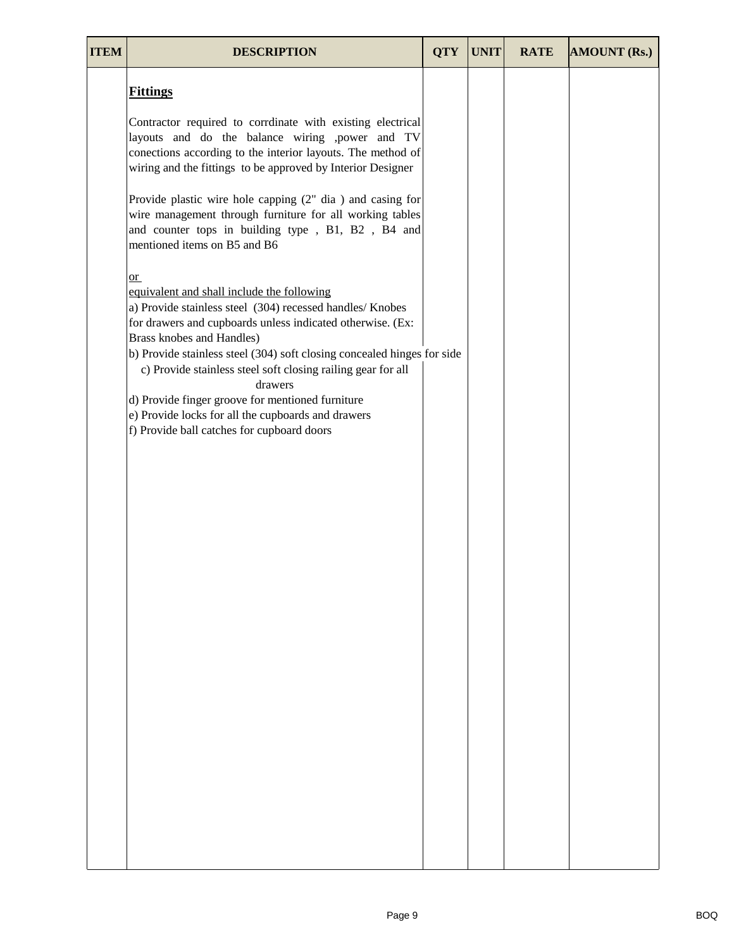| <b>ITEM</b> | <b>DESCRIPTION</b>                                                                                                                                                                                                                                                                                                                                                                                                                                                                                                       | <b>QTY</b> | <b>UNIT</b> | <b>RATE</b> | <b>AMOUNT (Rs.)</b> |
|-------------|--------------------------------------------------------------------------------------------------------------------------------------------------------------------------------------------------------------------------------------------------------------------------------------------------------------------------------------------------------------------------------------------------------------------------------------------------------------------------------------------------------------------------|------------|-------------|-------------|---------------------|
|             | <b>Fittings</b>                                                                                                                                                                                                                                                                                                                                                                                                                                                                                                          |            |             |             |                     |
|             | Contractor required to corrdinate with existing electrical<br>layouts and do the balance wiring , power and TV<br>conections according to the interior layouts. The method of<br>wiring and the fittings to be approved by Interior Designer                                                                                                                                                                                                                                                                             |            |             |             |                     |
|             | Provide plastic wire hole capping $(2n$ dia) and casing for<br>wire management through furniture for all working tables<br>and counter tops in building type, B1, B2, B4 and<br>mentioned items on B5 and B6                                                                                                                                                                                                                                                                                                             |            |             |             |                     |
|             | $or$<br>equivalent and shall include the following<br>a) Provide stainless steel (304) recessed handles/ Knobes<br>for drawers and cupboards unless indicated otherwise. (Ex:<br>Brass knobes and Handles)<br>b) Provide stainless steel (304) soft closing concealed hinges for side<br>c) Provide stainless steel soft closing railing gear for all<br>drawers<br>d) Provide finger groove for mentioned furniture<br>e) Provide locks for all the cupboards and drawers<br>f) Provide ball catches for cupboard doors |            |             |             |                     |
|             |                                                                                                                                                                                                                                                                                                                                                                                                                                                                                                                          |            |             |             |                     |
|             |                                                                                                                                                                                                                                                                                                                                                                                                                                                                                                                          |            |             |             |                     |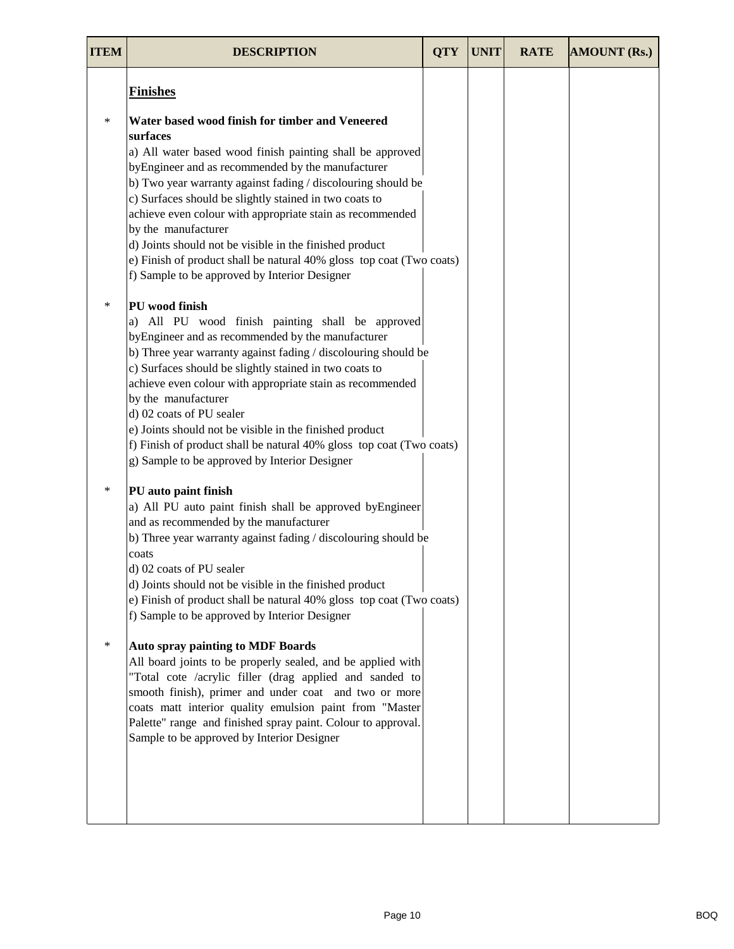| <b>ITEM</b> | <b>DESCRIPTION</b>                                                                                                                                                                                                                                                                                                                                                                                                                                                                                                                                      | <b>OTY</b> | <b>UNIT</b> | <b>RATE</b> | <b>AMOUNT (Rs.)</b> |
|-------------|---------------------------------------------------------------------------------------------------------------------------------------------------------------------------------------------------------------------------------------------------------------------------------------------------------------------------------------------------------------------------------------------------------------------------------------------------------------------------------------------------------------------------------------------------------|------------|-------------|-------------|---------------------|
|             | <b>Finishes</b>                                                                                                                                                                                                                                                                                                                                                                                                                                                                                                                                         |            |             |             |                     |
| $\ast$      | Water based wood finish for timber and Veneered<br>surfaces                                                                                                                                                                                                                                                                                                                                                                                                                                                                                             |            |             |             |                     |
|             | a) All water based wood finish painting shall be approved<br>byEngineer and as recommended by the manufacturer<br>b) Two year warranty against fading / discolouring should be<br>c) Surfaces should be slightly stained in two coats to<br>achieve even colour with appropriate stain as recommended<br>by the manufacturer<br>d) Joints should not be visible in the finished product<br>e) Finish of product shall be natural 40% gloss top coat (Two coats)<br>f) Sample to be approved by Interior Designer                                        |            |             |             |                     |
| $\ast$      | PU wood finish<br>a) All PU wood finish painting shall be approved<br>byEngineer and as recommended by the manufacturer<br>b) Three year warranty against fading / discolouring should be<br>c) Surfaces should be slightly stained in two coats to<br>achieve even colour with appropriate stain as recommended<br>by the manufacturer<br>d) 02 coats of PU sealer<br>e) Joints should not be visible in the finished product<br>f) Finish of product shall be natural 40% gloss top coat (Two coats)<br>g) Sample to be approved by Interior Designer |            |             |             |                     |
| $\ast$      | PU auto paint finish<br>a) All PU auto paint finish shall be approved byEngineer<br>and as recommended by the manufacturer<br>b) Three year warranty against fading / discolouring should be<br>coats<br>d) 02 coats of PU sealer<br>d) Joints should not be visible in the finished product<br>e) Finish of product shall be natural 40% gloss top coat (Two coats)<br>f) Sample to be approved by Interior Designer                                                                                                                                   |            |             |             |                     |
| $\ast$      | <b>Auto spray painting to MDF Boards</b><br>All board joints to be properly sealed, and be applied with<br>"Total cote /acrylic filler (drag applied and sanded to<br>smooth finish), primer and under coat and two or more<br>coats matt interior quality emulsion paint from "Master<br>Palette" range and finished spray paint. Colour to approval.<br>Sample to be approved by Interior Designer                                                                                                                                                    |            |             |             |                     |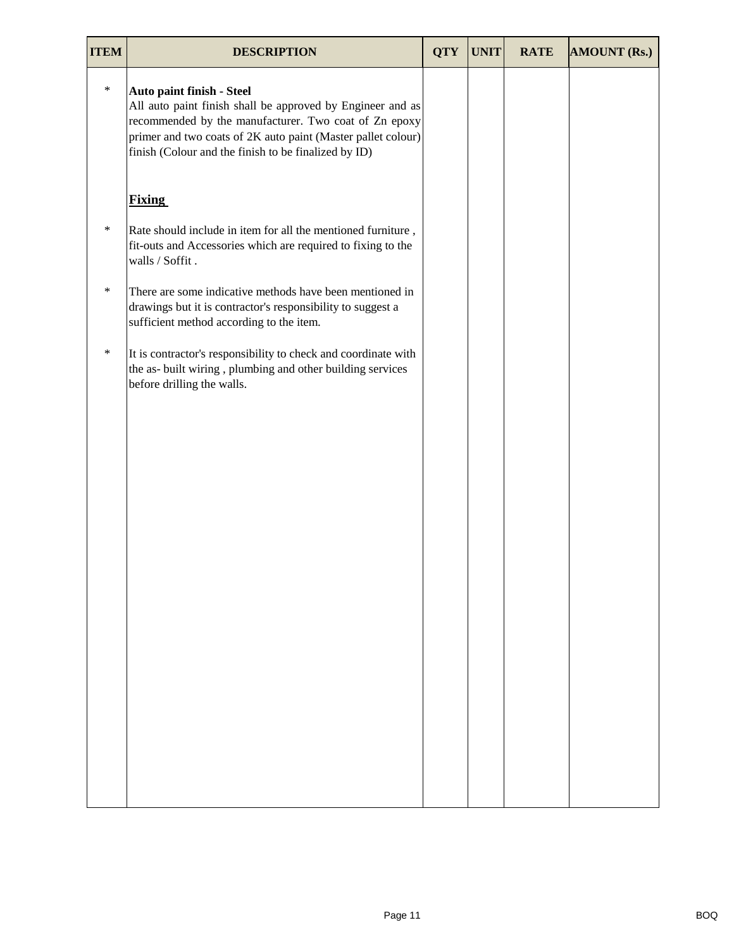| <b>ITEM</b> | <b>DESCRIPTION</b>                                                                                                                                                                                                                                                       | <b>QTY</b> | <b>UNIT</b> | <b>RATE</b> | <b>AMOUNT (Rs.)</b> |
|-------------|--------------------------------------------------------------------------------------------------------------------------------------------------------------------------------------------------------------------------------------------------------------------------|------------|-------------|-------------|---------------------|
| $\ast$      | Auto paint finish - Steel<br>All auto paint finish shall be approved by Engineer and as<br>recommended by the manufacturer. Two coat of Zn epoxy<br>primer and two coats of 2K auto paint (Master pallet colour)<br>finish (Colour and the finish to be finalized by ID) |            |             |             |                     |
|             | <b>Fixing</b>                                                                                                                                                                                                                                                            |            |             |             |                     |
| $\ast$      | Rate should include in item for all the mentioned furniture,<br>fit-outs and Accessories which are required to fixing to the<br>walls / Soffit.                                                                                                                          |            |             |             |                     |
| $\ast$      | There are some indicative methods have been mentioned in<br>drawings but it is contractor's responsibility to suggest a<br>sufficient method according to the item.                                                                                                      |            |             |             |                     |
| $\ast$      | It is contractor's responsibility to check and coordinate with<br>the as- built wiring, plumbing and other building services<br>before drilling the walls.                                                                                                               |            |             |             |                     |
|             |                                                                                                                                                                                                                                                                          |            |             |             |                     |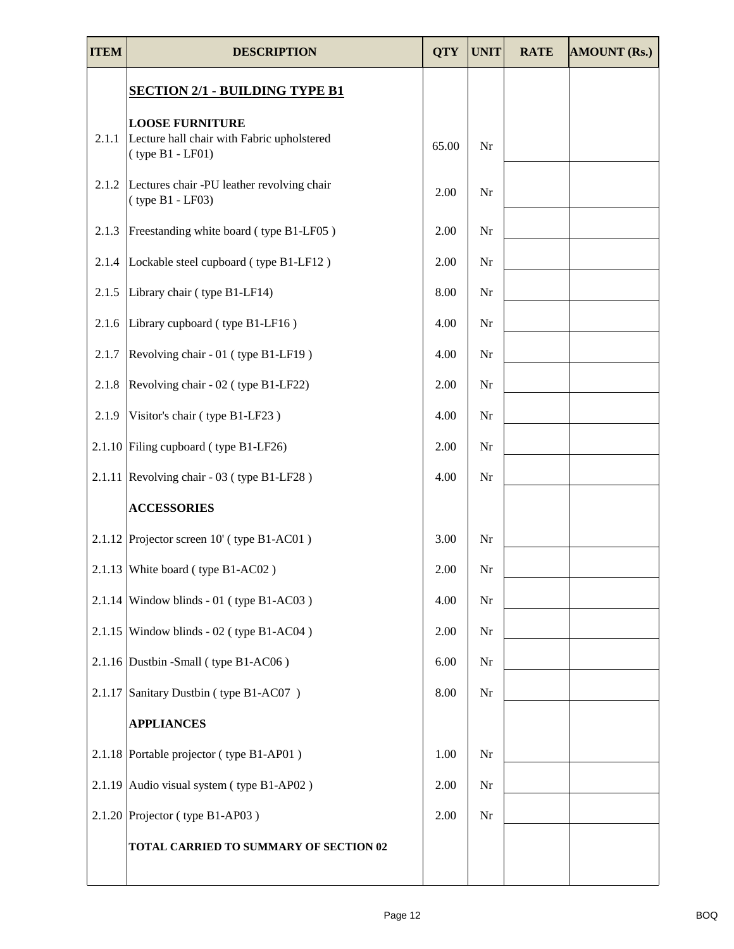| <b>ITEM</b> | <b>DESCRIPTION</b>                                                                         | <b>QTY</b> | <b>UNIT</b> | <b>RATE</b> | <b>AMOUNT (Rs.)</b> |
|-------------|--------------------------------------------------------------------------------------------|------------|-------------|-------------|---------------------|
|             | <b>SECTION 2/1 - BUILDING TYPE B1</b>                                                      |            |             |             |                     |
| 2.1.1       | <b>LOOSE FURNITURE</b><br>Lecture hall chair with Fabric upholstered<br>$(type B1 - LFO1)$ | 65.00      | Nr          |             |                     |
| 2.1.2       | Lectures chair -PU leather revolving chair<br>$(type B1 - LF03)$                           | 2.00       | Nr          |             |                     |
| 2.1.3       | Freestanding white board (type B1-LF05)                                                    | 2.00       | Nr          |             |                     |
|             | 2.1.4 Lockable steel cupboard (type B1-LF12)                                               | 2.00       | Nr          |             |                     |
| 2.1.5       | Library chair (type B1-LF14)                                                               | 8.00       | Nr          |             |                     |
| 2.1.6       | Library cupboard (type B1-LF16)                                                            | 4.00       | Nr          |             |                     |
| 2.1.7       | Revolving chair - 01 (type B1-LF19)                                                        | 4.00       | Nr          |             |                     |
| 2.1.8       | Revolving chair - 02 (type B1-LF22)                                                        | 2.00       | Nr          |             |                     |
| 2.1.9       | Visitor's chair (type B1-LF23)                                                             | 4.00       | Nr          |             |                     |
|             | 2.1.10 Filing cupboard (type B1-LF26)                                                      | 2.00       | Nr          |             |                     |
|             | 2.1.11 Revolving chair - $03$ (type B1-LF28)                                               | 4.00       | Nr          |             |                     |
|             | <b>ACCESSORIES</b>                                                                         |            |             |             |                     |
|             | 2.1.12 Projector screen 10' (type B1-AC01)                                                 | 3.00       | Nr          |             |                     |
|             | 2.1.13 White board (type B1-AC02)                                                          | 2.00       | Nr          |             |                     |
|             | $2.1.14$ Window blinds - 01 (type B1-AC03)                                                 | 4.00       | Nr          |             |                     |
|             | $2.1.15$ Window blinds - 02 (type B1-AC04)                                                 | 2.00       | Nr          |             |                     |
|             | 2.1.16 Dustbin -Small (type B1-AC06)                                                       | 6.00       | Nr          |             |                     |
|             | 2.1.17 Sanitary Dustbin (type B1-AC07)                                                     | 8.00       | Nr          |             |                     |
|             | <b>APPLIANCES</b>                                                                          |            |             |             |                     |
|             | 2.1.18 Portable projector (type B1-AP01)                                                   | 1.00       | Nr          |             |                     |
|             | 2.1.19 Audio visual system (type B1-AP02)                                                  | 2.00       | Nr          |             |                     |
|             | $2.1.20$ Projector (type B1-AP03)                                                          | 2.00       | Nr          |             |                     |
|             | TOTAL CARRIED TO SUMMARY OF SECTION 02                                                     |            |             |             |                     |
|             |                                                                                            |            |             |             |                     |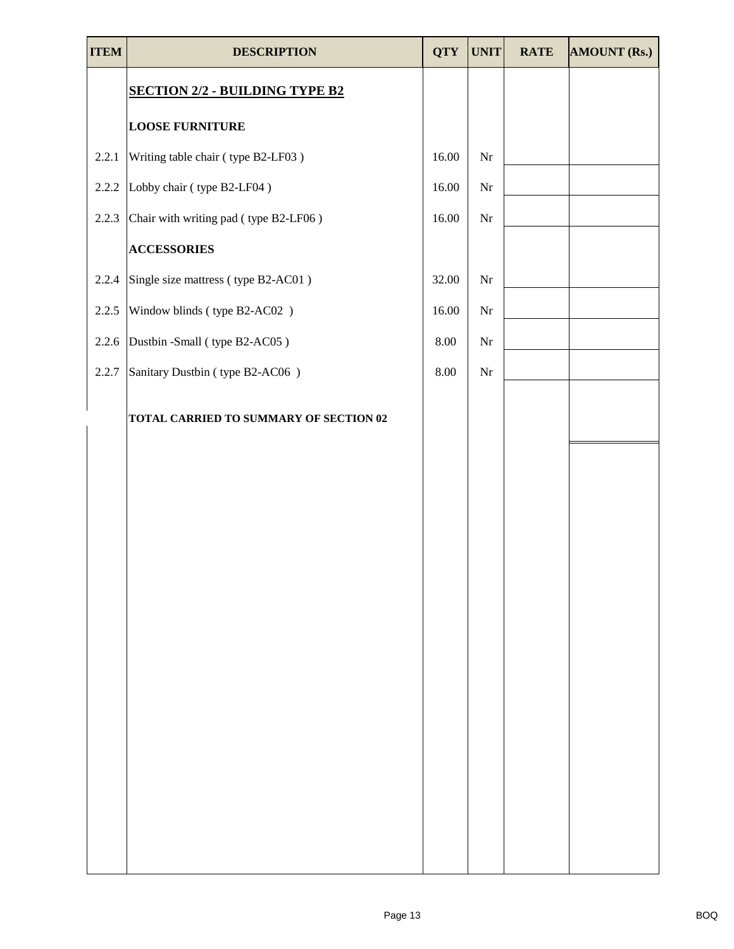| <b>ITEM</b> | <b>DESCRIPTION</b>                     | <b>QTY</b> | <b>UNIT</b> | <b>RATE</b> | <b>AMOUNT (Rs.)</b> |
|-------------|----------------------------------------|------------|-------------|-------------|---------------------|
|             | <b>SECTION 2/2 - BUILDING TYPE B2</b>  |            |             |             |                     |
|             | <b>LOOSE FURNITURE</b>                 |            |             |             |                     |
| 2.2.1       | Writing table chair (type B2-LF03)     | 16.00      | Nr          |             |                     |
| 2.2.2       | Lobby chair (type B2-LF04)             | 16.00      | Nr          |             |                     |
| 2.2.3       | Chair with writing pad (type B2-LF06)  | 16.00      | Nr          |             |                     |
|             | <b>ACCESSORIES</b>                     |            |             |             |                     |
| 2.2.4       | Single size mattress (type B2-AC01)    | 32.00      | $\rm Nr$    |             |                     |
| 2.2.5       | Window blinds (type B2-AC02)           | 16.00      | Nr          |             |                     |
| 2.2.6       | Dustbin -Small (type B2-AC05)          | 8.00       | Nr          |             |                     |
| 2.2.7       | Sanitary Dustbin (type B2-AC06)        | 8.00       | $\rm Nr$    |             |                     |
|             | TOTAL CARRIED TO SUMMARY OF SECTION 02 |            |             |             |                     |
|             |                                        |            |             |             |                     |
|             |                                        |            |             |             |                     |
|             |                                        |            |             |             |                     |
|             |                                        |            |             |             |                     |
|             |                                        |            |             |             |                     |
|             |                                        |            |             |             |                     |
|             |                                        |            |             |             |                     |
|             |                                        |            |             |             |                     |
|             |                                        |            |             |             |                     |
|             |                                        |            |             |             |                     |
|             |                                        |            |             |             |                     |
|             |                                        |            |             |             |                     |
|             |                                        |            |             |             |                     |
|             |                                        |            |             |             |                     |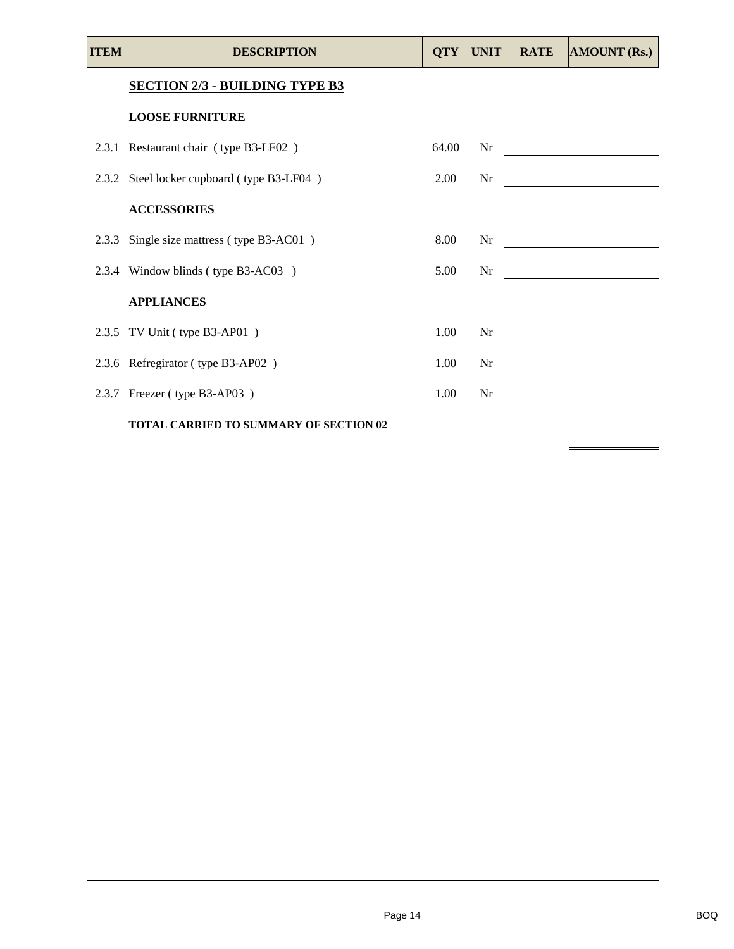| <b>ITEM</b> | <b>DESCRIPTION</b>                     | <b>QTY</b> | <b>UNIT</b> | <b>RATE</b> | <b>AMOUNT (Rs.)</b> |
|-------------|----------------------------------------|------------|-------------|-------------|---------------------|
|             | <b>SECTION 2/3 - BUILDING TYPE B3</b>  |            |             |             |                     |
|             | <b>LOOSE FURNITURE</b>                 |            |             |             |                     |
| 2.3.1       | Restaurant chair (type B3-LF02)        | 64.00      | $\rm Nr$    |             |                     |
| 2.3.2       | Steel locker cupboard (type B3-LF04)   | 2.00       | $\rm Nr$    |             |                     |
|             | <b>ACCESSORIES</b>                     |            |             |             |                     |
| 2.3.3       | Single size mattress (type B3-AC01)    | 8.00       | $\rm Nr$    |             |                     |
| 2.3.4       | Window blinds (type B3-AC03)           | 5.00       | Nr          |             |                     |
|             | <b>APPLIANCES</b>                      |            |             |             |                     |
| 2.3.5       | TV Unit (type B3-AP01)                 | 1.00       | $\rm Nr$    |             |                     |
| 2.3.6       | Refregirator (type B3-AP02)            | 1.00       | $\rm Nr$    |             |                     |
| 2.3.7       | Freezer (type B3-AP03)                 | 1.00       | Nr          |             |                     |
|             | TOTAL CARRIED TO SUMMARY OF SECTION 02 |            |             |             |                     |
|             |                                        |            |             |             |                     |
|             |                                        |            |             |             |                     |
|             |                                        |            |             |             |                     |
|             |                                        |            |             |             |                     |
|             |                                        |            |             |             |                     |
|             |                                        |            |             |             |                     |
|             |                                        |            |             |             |                     |
|             |                                        |            |             |             |                     |
|             |                                        |            |             |             |                     |
|             |                                        |            |             |             |                     |
|             |                                        |            |             |             |                     |
|             |                                        |            |             |             |                     |
|             |                                        |            |             |             |                     |
|             |                                        |            |             |             |                     |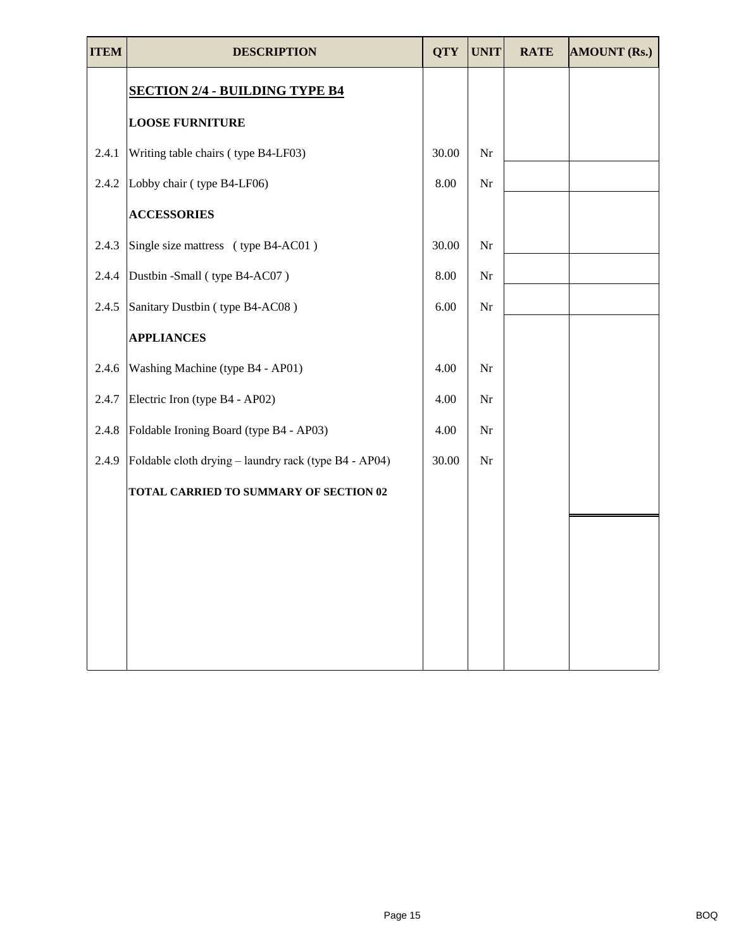| ITEM  | <b>DESCRIPTION</b>                                    | <b>QTY</b> | <b>UNIT</b> | <b>RATE</b> | <b>AMOUNT (Rs.)</b> |
|-------|-------------------------------------------------------|------------|-------------|-------------|---------------------|
|       | <b>SECTION 2/4 - BUILDING TYPE B4</b>                 |            |             |             |                     |
|       | <b>LOOSE FURNITURE</b>                                |            |             |             |                     |
| 2.4.1 | Writing table chairs (type B4-LF03)                   | 30.00      | Nr          |             |                     |
| 2.4.2 | Lobby chair (type B4-LF06)                            | 8.00       | Nr          |             |                     |
|       | <b>ACCESSORIES</b>                                    |            |             |             |                     |
| 2.4.3 | Single size mattress (type B4-AC01)                   | 30.00      | Nr          |             |                     |
| 2.4.4 | Dustbin -Small (type B4-AC07)                         | 8.00       | Nr          |             |                     |
| 2.4.5 | Sanitary Dustbin (type B4-AC08)                       | 6.00       | Nr          |             |                     |
|       | <b>APPLIANCES</b>                                     |            |             |             |                     |
| 2.4.6 | Washing Machine (type B4 - AP01)                      | 4.00       | Nr          |             |                     |
| 2.4.7 | Electric Iron (type B4 - AP02)                        | 4.00       | Nr          |             |                     |
| 2.4.8 | Foldable Ironing Board (type B4 - AP03)               | 4.00       | Nr          |             |                     |
| 2.4.9 | Foldable cloth drying – laundry rack (type B4 - AP04) | 30.00      | Nr          |             |                     |
|       | TOTAL CARRIED TO SUMMARY OF SECTION 02                |            |             |             |                     |
|       |                                                       |            |             |             |                     |
|       |                                                       |            |             |             |                     |
|       |                                                       |            |             |             |                     |
|       |                                                       |            |             |             |                     |
|       |                                                       |            |             |             |                     |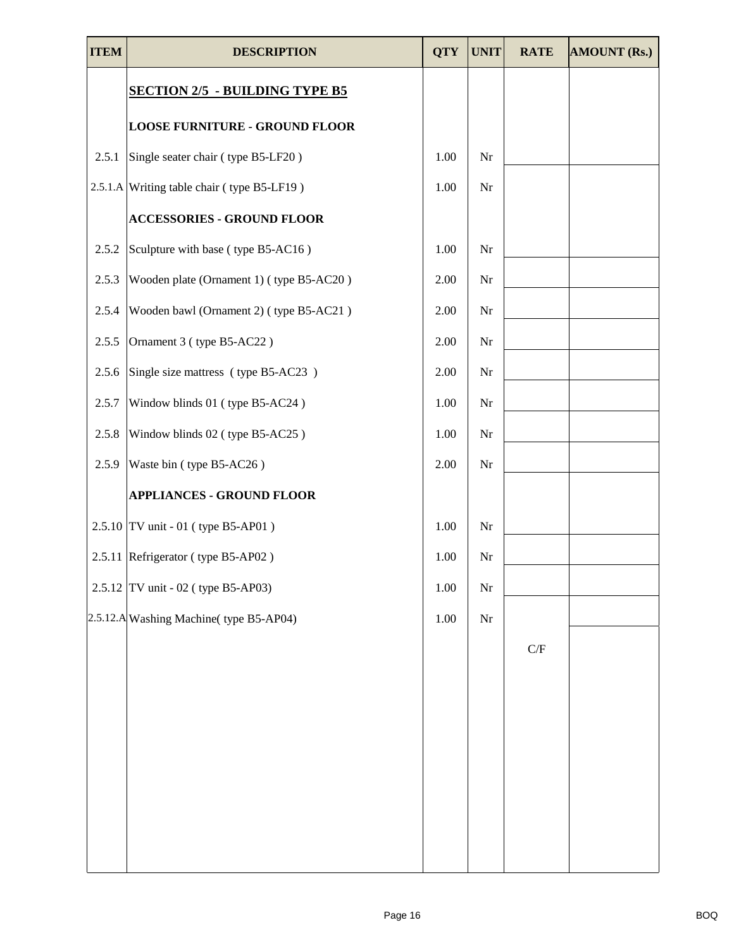| <b>ITEM</b> | <b>DESCRIPTION</b>                         | <b>QTY</b> | <b>UNIT</b> | <b>RATE</b>               | <b>AMOUNT (Rs.)</b> |
|-------------|--------------------------------------------|------------|-------------|---------------------------|---------------------|
|             | <b>SECTION 2/5 - BUILDING TYPE B5</b>      |            |             |                           |                     |
|             | <b>LOOSE FURNITURE - GROUND FLOOR</b>      |            |             |                           |                     |
| 2.5.1       | Single seater chair (type B5-LF20)         | 1.00       | Nr          |                           |                     |
|             | 2.5.1.A Writing table chair (type B5-LF19) | 1.00       | Nr          |                           |                     |
|             | <b>ACCESSORIES - GROUND FLOOR</b>          |            |             |                           |                     |
| 2.5.2       | Sculpture with base (type B5-AC16)         | 1.00       | Nr          |                           |                     |
| 2.5.3       | Wooden plate (Ornament 1) (type B5-AC20)   | 2.00       | Nr          |                           |                     |
| 2.5.4       | Wooden bawl (Ornament 2) (type B5-AC21)    | 2.00       | Nr          |                           |                     |
| 2.5.5       | Ornament 3 (type B5-AC22)                  | 2.00       | Nr          |                           |                     |
| 2.5.6       | Single size mattress (type B5-AC23)        | 2.00       | Nr          |                           |                     |
| 2.5.7       | Window blinds 01 (type B5-AC24)            | 1.00       | Nr          |                           |                     |
| 2.5.8       | Window blinds 02 (type B5-AC25)            | 1.00       | Nr          |                           |                     |
| 2.5.9       | Waste bin (type B5-AC26)                   | 2.00       | Nr          |                           |                     |
|             | <b>APPLIANCES - GROUND FLOOR</b>           |            |             |                           |                     |
|             | $2.5.10$ TV unit - 01 (type B5-AP01)       | 1.00       | Nr          |                           |                     |
|             | 2.5.11 Refrigerator (type B5-AP02)         | 1.00       | Nr          |                           |                     |
|             | 2.5.12 TV unit - 02 (type B5-AP03)         | 1.00       | $\rm Nr$    |                           |                     |
|             | 2.5.12.A Washing Machine (type B5-AP04)    | 1.00       | Nr          |                           |                     |
|             |                                            |            |             | $\mathcal{C}/\mathcal{F}$ |                     |
|             |                                            |            |             |                           |                     |
|             |                                            |            |             |                           |                     |
|             |                                            |            |             |                           |                     |
|             |                                            |            |             |                           |                     |
|             |                                            |            |             |                           |                     |
|             |                                            |            |             |                           |                     |
|             |                                            |            |             |                           |                     |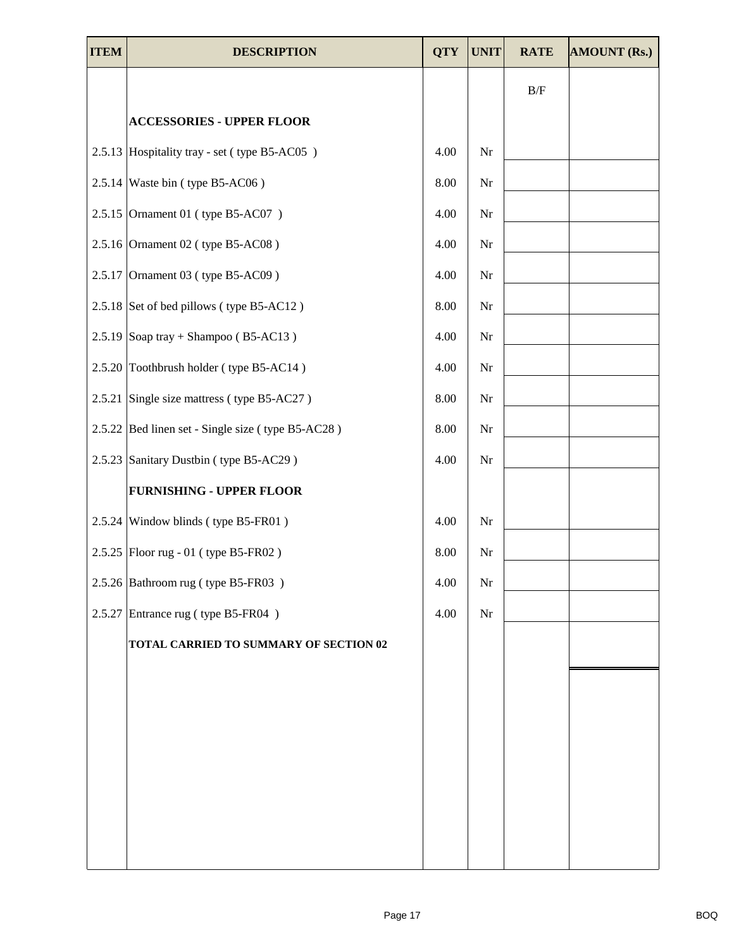| <b>ITEM</b> | <b>DESCRIPTION</b>                                | <b>QTY</b> | <b>UNIT</b> | <b>RATE</b> | <b>AMOUNT (Rs.)</b> |
|-------------|---------------------------------------------------|------------|-------------|-------------|---------------------|
|             |                                                   |            |             | $\rm\,B/F$  |                     |
|             | <b>ACCESSORIES - UPPER FLOOR</b>                  |            |             |             |                     |
|             | 2.5.13 Hospitality tray - set (type B5-AC05)      | 4.00       | Nr          |             |                     |
|             | 2.5.14 Waste bin (type B5-AC06)                   | 8.00       | Nr          |             |                     |
|             | 2.5.15 Ornament 01 (type B5-AC07)                 | 4.00       | Nr          |             |                     |
|             | $2.5.16$ Ornament 02 (type B5-AC08)               | 4.00       | Nr          |             |                     |
|             | 2.5.17 Ornament 03 (type B5-AC09)                 | 4.00       | $\rm Nr$    |             |                     |
|             | 2.5.18 Set of bed pillows (type B5-AC12)          | 8.00       | Nr          |             |                     |
|             | 2.5.19 Soap tray + Shampoo (B5-AC13)              | 4.00       | Nr          |             |                     |
|             | 2.5.20 Toothbrush holder (type B5-AC14)           | 4.00       | Nr          |             |                     |
|             | 2.5.21 Single size mattress (type B5-AC27)        | 8.00       | Nr          |             |                     |
|             | 2.5.22 Bed linen set - Single size (type B5-AC28) | 8.00       | Nr          |             |                     |
|             | 2.5.23 Sanitary Dustbin (type B5-AC29)            | 4.00       | Nr          |             |                     |
|             | <b>FURNISHING - UPPER FLOOR</b>                   |            |             |             |                     |
|             | 2.5.24 Window blinds (type B5-FR01)               | 4.00       | Nr          |             |                     |
|             | 2.5.25   Floor rug - 01 (type B5-FR02)            | 8.00       | Nr          |             |                     |
|             | 2.5.26 Bathroom rug (type B5-FR03)                | 4.00       | Nr          |             |                     |
|             | 2.5.27 Entrance rug (type B5-FR04)                | 4.00       | Nr          |             |                     |
|             | TOTAL CARRIED TO SUMMARY OF SECTION 02            |            |             |             |                     |
|             |                                                   |            |             |             |                     |
|             |                                                   |            |             |             |                     |
|             |                                                   |            |             |             |                     |
|             |                                                   |            |             |             |                     |
|             |                                                   |            |             |             |                     |
|             |                                                   |            |             |             |                     |
|             |                                                   |            |             |             |                     |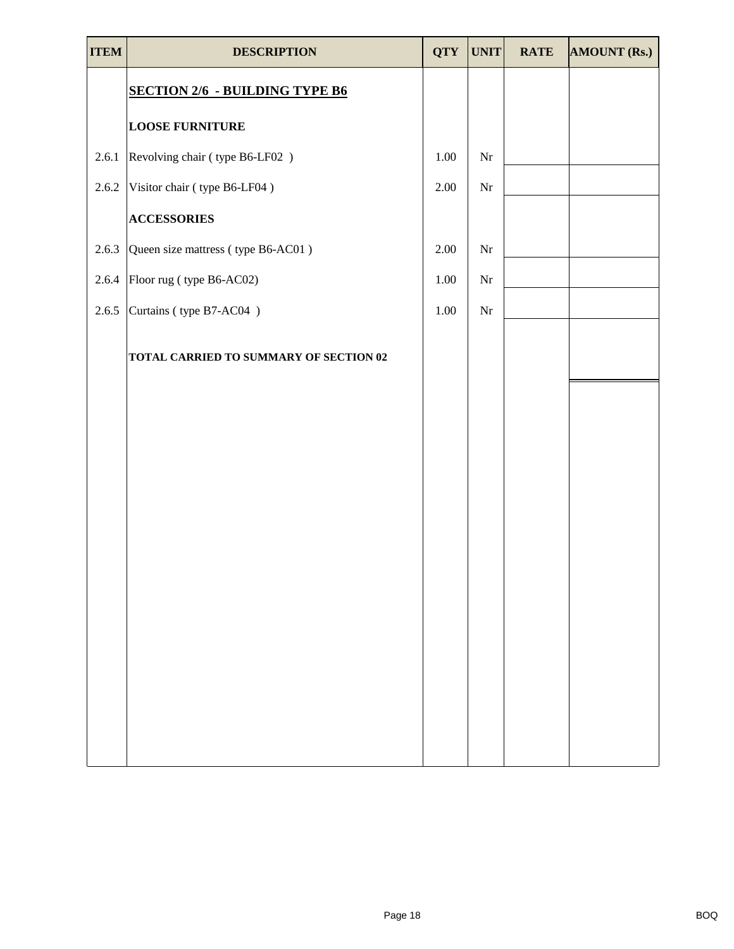| <b>ITEM</b> | <b>DESCRIPTION</b>                     | <b>QTY</b> | <b>UNIT</b> | <b>RATE</b> | <b>AMOUNT (Rs.)</b> |
|-------------|----------------------------------------|------------|-------------|-------------|---------------------|
|             | <b>SECTION 2/6 - BUILDING TYPE B6</b>  |            |             |             |                     |
|             | <b>LOOSE FURNITURE</b>                 |            |             |             |                     |
| 2.6.1       | Revolving chair (type B6-LF02)         | 1.00       | Nr          |             |                     |
| 2.6.2       | Visitor chair (type B6-LF04)           | 2.00       | $\rm Nr$    |             |                     |
|             | <b>ACCESSORIES</b>                     |            |             |             |                     |
| 2.6.3       | Queen size mattress (type B6-AC01)     | 2.00       | Nr          |             |                     |
| 2.6.4       | Floor rug (type B6-AC02)               | 1.00       | $\rm Nr$    |             |                     |
| 2.6.5       | Curtains (type B7-AC04)                | 1.00       | $\rm Nr$    |             |                     |
|             | TOTAL CARRIED TO SUMMARY OF SECTION 02 |            |             |             |                     |
|             |                                        |            |             |             |                     |
|             |                                        |            |             |             |                     |
|             |                                        |            |             |             |                     |
|             |                                        |            |             |             |                     |
|             |                                        |            |             |             |                     |
|             |                                        |            |             |             |                     |
|             |                                        |            |             |             |                     |
|             |                                        |            |             |             |                     |
|             |                                        |            |             |             |                     |
|             |                                        |            |             |             |                     |
|             |                                        |            |             |             |                     |
|             |                                        |            |             |             |                     |
|             |                                        |            |             |             |                     |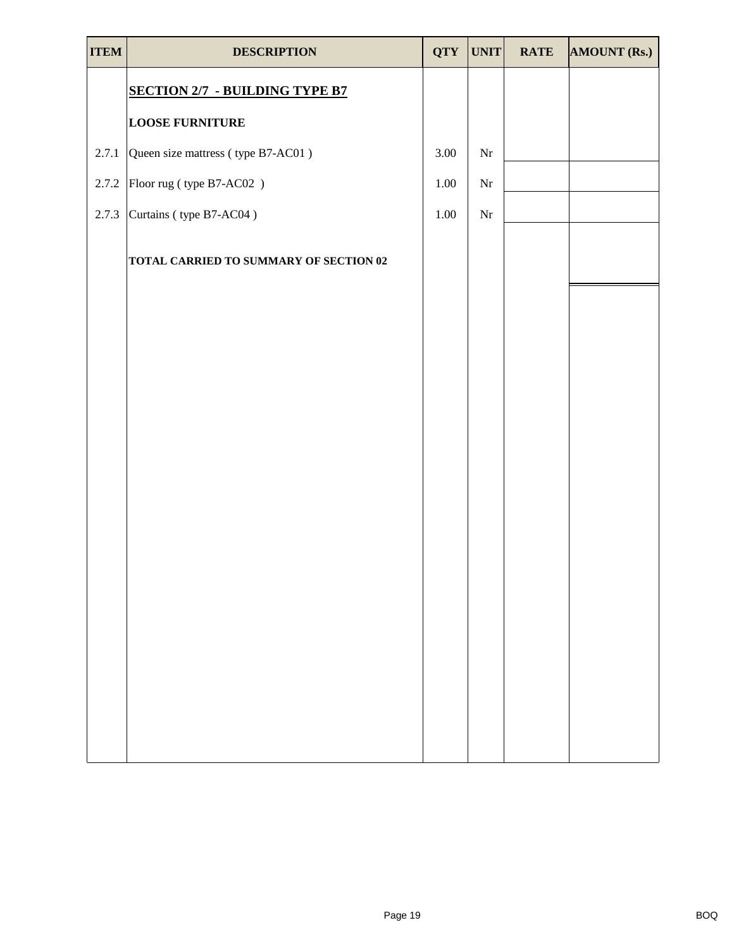| <b>ITEM</b> | <b>DESCRIPTION</b>                     | <b>QTY</b> | <b>UNIT</b> | <b>RATE</b> | <b>AMOUNT (Rs.)</b> |
|-------------|----------------------------------------|------------|-------------|-------------|---------------------|
|             | <b>SECTION 2/7 - BUILDING TYPE B7</b>  |            |             |             |                     |
|             | <b>LOOSE FURNITURE</b>                 |            |             |             |                     |
| 2.7.1       | Queen size mattress (type B7-AC01)     | 3.00       | $\rm Nr$    |             |                     |
| 2.7.2       | Floor rug (type B7-AC02)               | 1.00       | $\rm Nr$    |             |                     |
| 2.7.3       | Curtains (type B7-AC04)                | 1.00       | $\rm Nr$    |             |                     |
|             | TOTAL CARRIED TO SUMMARY OF SECTION 02 |            |             |             |                     |
|             |                                        |            |             |             |                     |
|             |                                        |            |             |             |                     |
|             |                                        |            |             |             |                     |
|             |                                        |            |             |             |                     |
|             |                                        |            |             |             |                     |
|             |                                        |            |             |             |                     |
|             |                                        |            |             |             |                     |
|             |                                        |            |             |             |                     |
|             |                                        |            |             |             |                     |
|             |                                        |            |             |             |                     |
|             |                                        |            |             |             |                     |
|             |                                        |            |             |             |                     |
|             |                                        |            |             |             |                     |
|             |                                        |            |             |             |                     |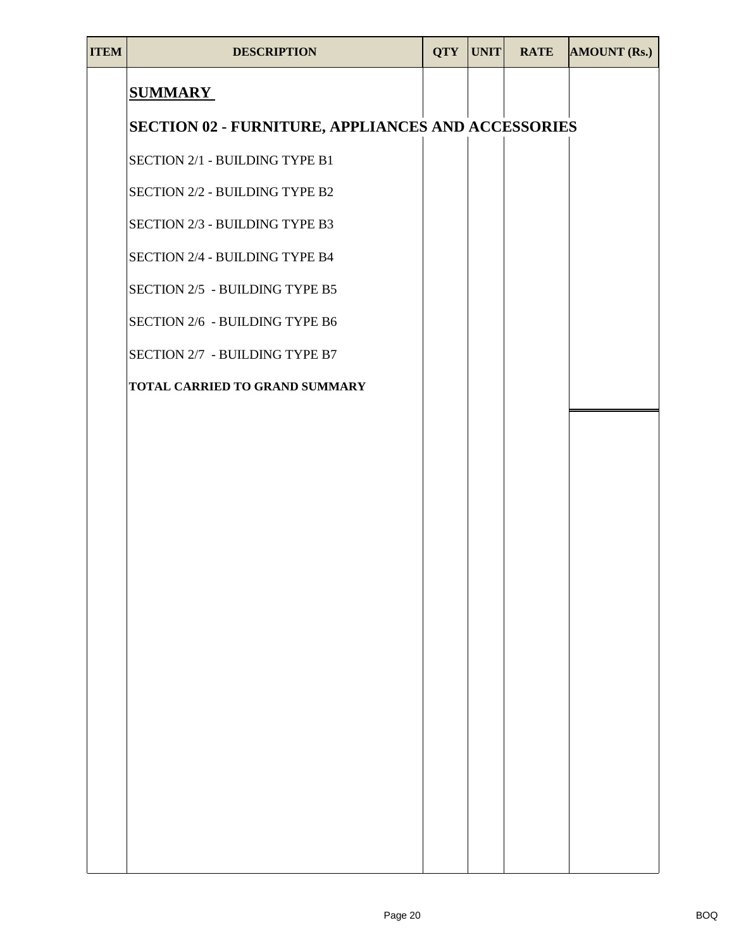| <b>ITEM</b> | <b>DESCRIPTION</b>                                        | <b>QTY</b> | UNIT | <b>RATE</b> | <b>AMOUNT (Rs.)</b> |
|-------------|-----------------------------------------------------------|------------|------|-------------|---------------------|
|             | <b>SUMMARY</b>                                            |            |      |             |                     |
|             | <b>SECTION 02 - FURNITURE, APPLIANCES AND ACCESSORIES</b> |            |      |             |                     |
|             | SECTION 2/1 - BUILDING TYPE B1                            |            |      |             |                     |
|             | SECTION 2/2 - BUILDING TYPE B2                            |            |      |             |                     |
|             | SECTION 2/3 - BUILDING TYPE B3                            |            |      |             |                     |
|             | SECTION 2/4 - BUILDING TYPE B4                            |            |      |             |                     |
|             | SECTION 2/5 - BUILDING TYPE B5                            |            |      |             |                     |
|             | SECTION 2/6 - BUILDING TYPE B6                            |            |      |             |                     |
|             | SECTION 2/7 - BUILDING TYPE B7                            |            |      |             |                     |
|             | TOTAL CARRIED TO GRAND SUMMARY                            |            |      |             |                     |
|             |                                                           |            |      |             |                     |
|             |                                                           |            |      |             |                     |
|             |                                                           |            |      |             |                     |
|             |                                                           |            |      |             |                     |
|             |                                                           |            |      |             |                     |
|             |                                                           |            |      |             |                     |
|             |                                                           |            |      |             |                     |
|             |                                                           |            |      |             |                     |
|             |                                                           |            |      |             |                     |
|             |                                                           |            |      |             |                     |
|             |                                                           |            |      |             |                     |
|             |                                                           |            |      |             |                     |
|             |                                                           |            |      |             |                     |
|             |                                                           |            |      |             |                     |
|             |                                                           |            |      |             |                     |